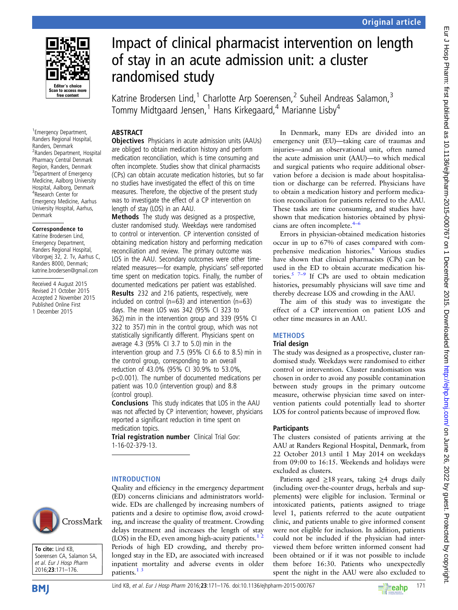

1 Emergency Department, Randers Regional Hospital, Randers, Denmark <sup>2</sup> Randers Department, Hospital Pharmacy Central Denmark Region, Randers, Denmark <sup>3</sup>Department of Emergency Medicine, Aalborg University Hospital, Aalborg, Denmark 4 Research Center for Emergency Medicine, Aarhus

#### Correspondence to

Denmark

University Hospital, Aarhus,

Katrine Brodersen Lind, Emergency Department, Randers Regional Hospital, Viborgvej 32, 2. Tv, Aarhus C, Randers 8000, Denmark; katrine.brodersen@gmail.com

Received 4 August 2015 Revised 21 October 2015 Accepted 2 November 2015 Published Online First 1 December 2015

# Impact of clinical pharmacist intervention on length of stay in an acute admission unit: a cluster randomised study

Katrine Brodersen Lind,<sup>1</sup> Charlotte Arp Soerensen,<sup>2</sup> Suheil Andreas Salamon,<sup>3</sup> Tommy Midtgaard Jensen,<sup>1</sup> Hans Kirkegaard,<sup>4</sup> Marianne Lisby<sup>4</sup>

# ABSTRACT

**Objectives** Physicians in acute admission units (AAUs) are obliged to obtain medication history and perform medication reconciliation, which is time consuming and often incomplete. Studies show that clinical pharmacists (CPs) can obtain accurate medication histories, but so far no studies have investigated the effect of this on time measures. Therefore, the objective of the present study was to investigate the effect of a CP intervention on length of stay (LOS) in an AAU.

Methods The study was designed as a prospective, cluster randomised study. Weekdays were randomised to control or intervention. CP intervention consisted of obtaining medication history and performing medication reconciliation and review. The primary outcome was LOS in the AAU. Secondary outcomes were other timerelated measures—for example, physicians' self-reported time spent on medication topics. Finally, the number of documented medications per patient was established. Results 232 and 216 patients, respectively, were included on control (n=63) and intervention (n=63) days. The mean LOS was 342 (95% CI 323 to 362) min in the intervention group and 339 (95% CI 322 to 357) min in the control group, which was not statistically significantly different. Physicians spent on average 4.3 (95% CI 3.7 to 5.0) min in the intervention group and 7.5 (95% CI 6.6 to 8.5) min in the control group, corresponding to an overall reduction of 43.0% (95% CI 30.9% to 53.0%, p<0.001). The number of documented medications per patient was 10.0 (intervention group) and 8.8 (control group).

Conclusions This study indicates that LOS in the AAU was not affected by CP intervention; however, physicians reported a significant reduction in time spent on medication topics.

Trial registration number Clinical Trial Gov: 1-16-02-379-13.

## INTRODUCTION

CrossMark

To cite: Lind KB, Soerensen CA, Salamon SA, et al. Eur J Hosp Pharm 2016;23:171–176.

Quality and efficiency in the emergency department (ED) concerns clinicians and administrators worldwide. EDs are challenged by increasing numbers of

In Denmark, many EDs are divided into an emergency unit (EU)—taking care of traumas and injuries—and an observational unit, often named the acute admission unit (AAU)—to which medical and surgical patients who require additional observation before a decision is made about hospitalisation or discharge can be referred. Physicians have to obtain a medication history and perform medication reconciliation for patients referred to the AAU. These tasks are time consuming, and studies have shown that medication histories obtained by physicians are often incomplete. $4-6$  $4-6$ 

Errors in physician-obtained medication histories occur in up to 67% of cases compared with com-prehensive medication histories.<sup>[6](#page-5-0)</sup> Various studies have shown that clinical pharmacists (CPs) can be used in the ED to obtain accurate medication histories.<sup>5</sup>  $7-9$  If CPs are used to obtain medication histories, presumably physicians will save time and thereby decrease LOS and crowding in the AAU.

The aim of this study was to investigate the effect of a CP intervention on patient LOS and other time measures in an AAU.

# **METHODS**

## Trial design

The study was designed as a prospective, cluster randomised study. Weekdays were randomised to either control or intervention. Cluster randomisation was chosen in order to avoid any possible contamination between study groups in the primary outcome measure, otherwise physician time saved on intervention patients could potentially lead to shorter LOS for control patients because of improved flow.

# **Participants**

The clusters consisted of patients arriving at the AAU at Randers Regional Hospital, Denmark, from 22 October 2013 until 1 May 2014 on weekdays from 09:00 to 16:15. Weekends and holidays were excluded as clusters.

Patients aged ≥18 years, taking ≥4 drugs daily (including over-the-counter drugs, herbals and supplements) were eligible for inclusion. Terminal or intoxicated patients, patients assigned to triage level 1, patients referred to the acute outpatient clinic, and patients unable to give informed consent were not eligible for inclusion. In addition, patients could not be included if the physician had interviewed them before written informed consent had been obtained or if it was not possible to include them before 16:30. Patients who unexpectedly spent the night in the AAU were also excluded to

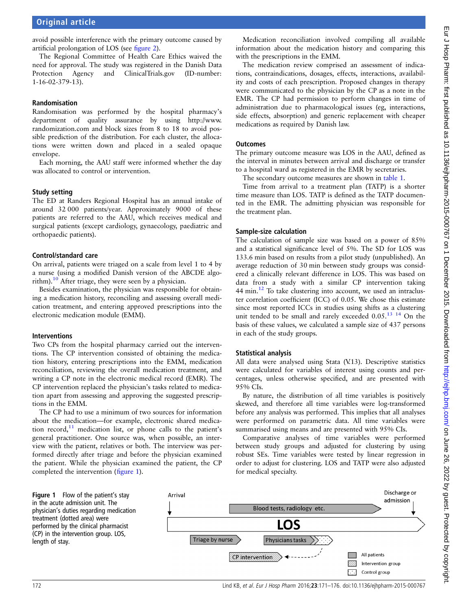avoid possible interference with the primary outcome caused by artificial prolongation of LOS (see fi[gure 2\)](#page-2-0).

The Regional Committee of Health Care Ethics waived the need for approval. The study was registered in the Danish Data Protection Agency and ClinicalTrials.gov (ID-number: 1-16-02-379-13).

## Randomisation

Randomisation was performed by the hospital pharmacy's department of quality assurance by using [http://www.](http://www.randomization.com) [randomization.com](http://www.randomization.com) and block sizes from 8 to 18 to avoid possible prediction of the distribution. For each cluster, the allocations were written down and placed in a sealed opaque envelope.

Each morning, the AAU staff were informed whether the day was allocated to control or intervention.

# Study setting

The ED at Randers Regional Hospital has an annual intake of around 32 000 patients/year. Approximately 9000 of these patients are referred to the AAU, which receives medical and surgical patients (except cardiology, gynaecology, paediatric and orthopaedic patients).

# Control/standard care

On arrival, patients were triaged on a scale from level 1 to 4 by a nurse (using a modified Danish version of the ABCDE algorithm).<sup>10</sup> After triage, they were seen by a physician.

Besides examination, the physician was responsible for obtaining a medication history, reconciling and assessing overall medication treatment, and entering approved prescriptions into the electronic medication module (EMM).

# Interventions

Two CPs from the hospital pharmacy carried out the interventions. The CP intervention consisted of obtaining the medication history, entering prescriptions into the EMM, medication reconciliation, reviewing the overall medication treatment, and writing a CP note in the electronic medical record (EMR). The CP intervention replaced the physician's tasks related to medication apart from assessing and approving the suggested prescriptions in the EMM.

The CP had to use a minimum of two sources for information about the medication—for example, electronic shared medication record, $11$  medication list, or phone calls to the patient's general practitioner. One source was, when possible, an interview with the patient, relatives or both. The interview was performed directly after triage and before the physician examined the patient. While the physician examined the patient, the CP completed the intervention (figure 1).

Medication reconciliation involved compiling all available information about the medication history and comparing this with the prescriptions in the EMM.

The medication review comprised an assessment of indications, contraindications, dosages, effects, interactions, availability and costs of each prescription. Proposed changes in therapy were communicated to the physician by the CP as a note in the EMR. The CP had permission to perform changes in time of administration due to pharmacological issues (eg, interactions, side effects, absorption) and generic replacement with cheaper medications as required by Danish law.

# **Outcomes**

The primary outcome measure was LOS in the AAU, defined as the interval in minutes between arrival and discharge or transfer to a hospital ward as registered in the EMR by secretaries.

The secondary outcome measures are shown in [table 1.](#page-2-0)

Time from arrival to a treatment plan (TATP) is a shorter time measure than LOS. TATP is defined as the TATP documented in the EMR. The admitting physician was responsible for the treatment plan.

# Sample-size calculation

The calculation of sample size was based on a power of 85% and a statistical significance level of 5%. The SD for LOS was 133.6 min based on results from a pilot study (unpublished). An average reduction of 30 min between study groups was considered a clinically relevant difference in LOS. This was based on data from a study with a similar CP intervention taking 44 min.<sup>[12](#page-5-0)</sup> To take clustering into account, we used an intracluster correlation coefficient (ICC) of 0.05. We chose this estimate since most reported ICCs in studies using shifts as a clustering unit tended to be small and rarely exceeded 0.05.<sup>13</sup> <sup>14</sup> On the basis of these values, we calculated a sample size of 437 persons in each of the study groups.

# Statistical analysis

All data were analysed using Stata (V.13). Descriptive statistics were calculated for variables of interest using counts and percentages, unless otherwise specified, and are presented with 95% CIs.

By nature, the distribution of all time variables is positively skewed, and therefore all time variables were log-transformed before any analysis was performed. This implies that all analyses were performed on parametric data. All time variables were summarised using means and are presented with 95% CIs.

Comparative analyses of time variables were performed between study groups and adjusted for clustering by using robust SEs. Time variables were tested by linear regression in order to adjust for clustering. LOS and TATP were also adjusted for medical specialty.

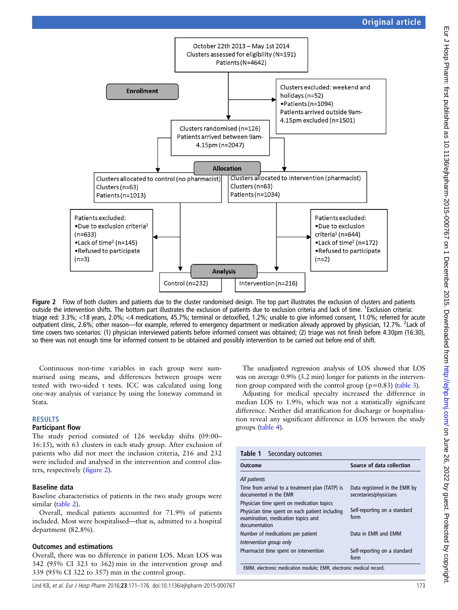<span id="page-2-0"></span>

Figure 2 Flow of both clusters and patients due to the cluster randomised design. The top part illustrates the exclusion of clusters and patients outside the intervention shifts. The bottom part illustrates the exclusion of patients due to exclusion criteria and lack of time. <sup>1</sup>Exclusion criteria: triage red: 3.3%; <18 years, 2.0%; <4 medications, 45.7%; terminal or detoxified, 1.2%; unable to give informed consent, 11.0%; referred for acute outpatient clinic, 2.6%; other reason—for example, referred to emergency department or medication already approved by physician, 12.7%. <sup>2</sup>Lack of time covers two scenarios: (1) physician interviewed patients before informed consent was obtained; (2) triage was not finish before 4.30pm (16:30), so there was not enough time for informed consent to be obtained and possibly intervention to be carried out before end of shift.

Continuous non-time variables in each group were summarised using means, and differences between groups were tested with two-sided t tests. ICC was calculated using long one-way analysis of variance by using the loneway command in Stata.

## RESULTS

# Participant flow

The study period consisted of 126 weekday shifts (09:00– 16:15), with 63 clusters in each study group. After exclusion of patients who did not meet the inclusion criteria, 216 and 232 were included and analysed in the intervention and control clusters, respectively (figure 2).

## Baseline data

Baseline characteristics of patients in the two study groups were similar [\(table 2](#page-3-0)).

Overall, medical patients accounted for 71.9% of patients included. Most were hospitalised—that is, admitted to a hospital department (82.8%).

# Outcomes and estimations

Overall, there was no difference in patient LOS. Mean LOS was 342 (95% CI 323 to 362) min in the intervention group and 339 (95% CI 322 to 357) min in the control group.

tion reveal any significant difference in LOS between the study groups [\(table 4\)](#page-4-0).

Table 1 Secondary outcomes

| Table T<br>Secondary outcomes                                                                                                                      |                                                         |
|----------------------------------------------------------------------------------------------------------------------------------------------------|---------------------------------------------------------|
| Outcome                                                                                                                                            | Source of data collection                               |
| All patients                                                                                                                                       |                                                         |
| Time from arrival to a treatment plan (TATP) is<br>documented in the FMR                                                                           | Data registered in the EMR by<br>secretaries/physicians |
| Physician time spent on medication topics<br>Physician time spent on each patient including<br>examination, medication topics and<br>documentation | Self-reporting on a standard<br>form                    |
| Number of medications per patient<br>Intervention group only                                                                                       | Data in EMR and EMM                                     |
| Pharmacist time spent on intervention                                                                                                              | Self-reporting on a standard<br>form                    |

The unadjusted regression analysis of LOS showed that LOS was on average 0.9% (3.2 min) longer for patients in the intervention group compared with the control group ( $p=0.83$ ) [\(table 3\)](#page-3-0). Adjusting for medical specialty increased the difference in median LOS to 1.9%, which was not a statistically significant difference. Neither did stratification for discharge or hospitalisa-

EMM, electronic medication module; EMR, electronic medical record.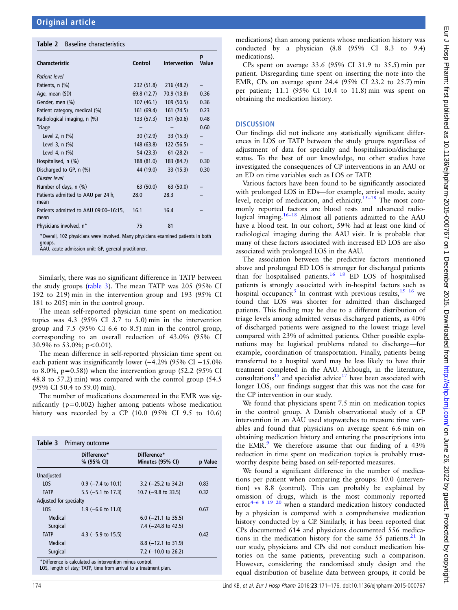<span id="page-3-0"></span>

| <b>Characteristic</b>                                                                                            | Control     | <b>Intervention</b> | D<br>Value        |
|------------------------------------------------------------------------------------------------------------------|-------------|---------------------|-------------------|
| <b>Patient level</b>                                                                                             |             |                     |                   |
| Patients, n (%)                                                                                                  | 232 (51.8)  | 216(48.2)           |                   |
| Age, mean (SD)                                                                                                   | 69.8 (12.7) | 70.9 (13.8)         | 0.36              |
| Gender, men (%)                                                                                                  | 107 (46.1)  | 109(50.5)           | 0.36              |
| Patient category, medical (%)                                                                                    | 161 (69.4)  | 161 (74.5)          | 0.23              |
| Radiological imaging, n (%)                                                                                      | 133 (57.3)  | 131 (60.6)          | 0.48              |
| <b>Triage</b>                                                                                                    |             |                     | 0.60              |
| Level 2, n (%)                                                                                                   | 30 (12.9)   | 33 (15.3)           |                   |
| Level 3, $n$ $(\%)$                                                                                              | 148 (63.8)  | 122 (56.5)          | $\qquad \qquad -$ |
| Level 4, n (%)                                                                                                   | 54 (23.3)   | 61(28.2)            |                   |
| Hospitalised, n (%)                                                                                              | 188 (81.0)  | 183 (84.7)          | 0.30              |
| Discharged to GP, n (%)                                                                                          | 44 (19.0)   | 33 (15.3)           | 0.30              |
| Cluster level                                                                                                    |             |                     |                   |
| Number of days, n (%)                                                                                            | 63(50.0)    | 63 (50.0)           |                   |
| Patients admitted to AAU per 24 h,<br>mean                                                                       | 28.0        | 28.3                |                   |
| Patients admitted to AAU 09:00-16:15,<br>mean                                                                    | 16.1        | 16.4                |                   |
| Physicians involved, n*<br>$*$ Ouarell, 100 mbusicione unas involved. Menu physiciane avenuinced periode in both | 75          | 81                  |                   |

\*Overall, 102 physicians were involved. Many physicians examined patients in both groups.

AAU, acute admission unit; GP, general practitioner.

Similarly, there was no significant difference in TATP between the study groups (table 3). The mean TATP was 205 (95% CI 192 to 219) min in the intervention group and 193 (95% CI 181 to 205) min in the control group.

The mean self-reported physician time spent on medication topics was 4.3 (95% CI 3.7 to 5.0) min in the intervention group and 7.5 (95% CI 6.6 to 8.5) min in the control group, corresponding to an overall reduction of 43.0% (95% CI 30.9% to 53.0%;  $p < 0.01$ ).

The mean difference in self-reported physician time spent on each patient was insignificantly lower (−4.2% (95% CI −15.0% to 8.0%,  $p=0.58$ )) when the intervention group (52.2 (95% CI 48.8 to 57.2) min) was compared with the control group (54.5 (95% CI 50.4 to 59.0) min).

The number of medications documented in the EMR was significantly (p=0.002) higher among patients whose medication history was recorded by a CP (10.0 (95% CI 9.5 to 10.6)

| Table 3                | Primary outcome               |                                 |         |
|------------------------|-------------------------------|---------------------------------|---------|
|                        | Difference*<br>% (95% CI)     | Difference*<br>Minutes (95% CI) | p Value |
| Unadjusted             |                               |                                 |         |
| <b>LOS</b>             | $0.9$ (-7.4 to 10.1)          | 3.2 $(-25.2 \text{ to } 34.2)$  | 0.83    |
| <b>TATP</b>            | $5.5$ (-5.1 to 17.3)          | 10.7 ( $-9.8$ to 33.5)          | 0.32    |
| Adjusted for specialty |                               |                                 |         |
| <b>LOS</b>             | $1.9$ (-6.6 to 11.0)          |                                 | 0.67    |
| Medical                |                               | $6.0$ (-21.1 to 35.5)           |         |
| Surgical               |                               | 7.4 $(-24.8 \text{ to } 42.5)$  |         |
| TATP                   | 4.3 $(-5.9 \text{ to } 15.5)$ |                                 | 0.42    |
| Medical                |                               | $8.8$ (-12.1 to 31.9)           |         |
| Surgical               |                               | 7.2 $(-10.0 \text{ to } 26.2)$  |         |

LOS, length of stay; TATP, time from arrival to a treatment plan.

medications) than among patients whose medication history was conducted by a physician (8.8 (95% CI 8.3 to 9.4) medications).

CPs spent on average 33.6 (95% CI 31.9 to 35.5) min per patient. Disregarding time spent on inserting the note into the EMR, CPs on average spent 24.4 (95% CI 23.2 to 25.7) min per patient; 11.1 (95% CI 10.4 to 11.8) min was spent on obtaining the medication history.

#### **DISCUSSION**

Our findings did not indicate any statistically significant differences in LOS or TATP between the study groups regardless of adjustment of data for specialty and hospitalisation/discharge status. To the best of our knowledge, no other studies have investigated the consequences of CP interventions in an AAU or an ED on time variables such as LOS or TATP.

Various factors have been found to be significantly associated with prolonged LOS in EDs—for example, arrival mode, acuity level, receipt of medication, and ethnicity.[15](#page-5-0)–<sup>18</sup> The most commonly reported factors are blood tests and advanced radio-logical imaging.<sup>16–[18](#page-5-0)</sup> Almost all patients admitted to the AAU have a blood test. In our cohort, 59% had at least one kind of radiological imaging during the AAU visit. It is probable that many of these factors associated with increased ED LOS are also associated with prolonged LOS in the AAU.

The association between the predictive factors mentioned above and prolonged ED LOS is stronger for discharged patients than for hospitalised patients.[16 18](#page-5-0) ED LOS of hospitalised patients is strongly associated with in-hospital factors such as hospital occupancy.<sup>[3](#page-5-0)</sup> In contrast with previous results,  $15 \frac{16}{16}$  we found that LOS was shorter for admitted than discharged patients. This finding may be due to a different distribution of triage levels among admitted versus discharged patients, as 40% of discharged patients were assigned to the lowest triage level compared with 23% of admitted patients. Other possible explanations may be logistical problems related to discharge—for example, coordination of transportation. Finally, patients being transferred to a hospital ward may be less likely to have their treatment completed in the AAU. Although, in the literature, consultations<sup>15</sup> and specialist advice<sup>[17](#page-5-0)</sup> have been associated with longer LOS, our findings suggest that this was not the case for the CP intervention in our study.

We found that physicians spent 7.5 min on medication topics in the control group. A Danish observational study of a CP intervention in an AAU used stopwatches to measure time variables and found that physicians on average spent 6.6 min on obtaining medication history and entering the prescriptions into the EMR. $9$  We therefore assume that our finding of a 43% reduction in time spent on medication topics is probably trustworthy despite being based on self-reported measures.

We found a significant difference in the number of medications per patient when comparing the groups: 10.0 (intervention) vs 8.8 (control). This can probably be explained by omission of drugs, which is the most commonly reported error $4-6$   $8$  19 20 when a standard medication history conducted by a physician is compared with a comprehensive medication history conducted by a CP. Similarly, it has been reported that CPs documented 614 and physicians documented 556 medications in the medication history for the same  $55$  patients.<sup>[21](#page-5-0)</sup> In our study, physicians and CPs did not conduct medication histories on the same patients, preventing such a comparison. However, considering the randomised study design and the equal distribution of baseline data between groups, it could be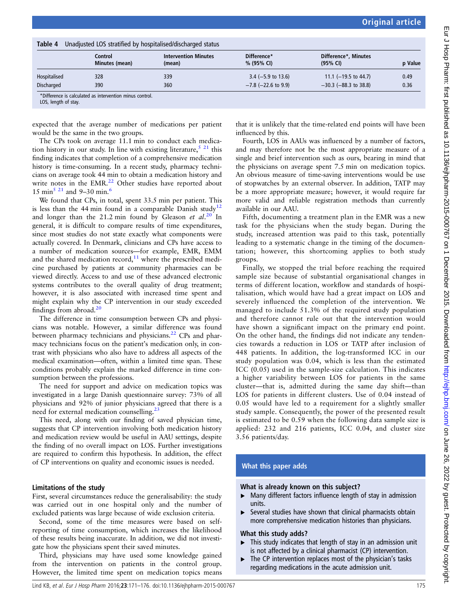|                      | Control<br>Minutes (mean)                                | <b>Intervention Minutes</b><br>(mean) | Difference*<br>% (95% CI) | Difference*, Minutes<br>(95% CI) | p Value |
|----------------------|----------------------------------------------------------|---------------------------------------|---------------------------|----------------------------------|---------|
| Hospitalised         | 328                                                      | 339                                   | $3.4$ (-5.9 to 13.6)      | 11.1 $(-19.5 \text{ to } 44.7)$  | 0.49    |
| Discharged           | 390                                                      | 360                                   | $-7.8$ ( $-22.6$ to 9.9)  | $-30.3$ ( $-88.3$ to 38.8)       | 0.36    |
| LOS. length of stay. | *Difference is calculated as intervention minus control. |                                       |                           |                                  |         |

<span id="page-4-0"></span>Table 4 Unadjusted LOS stratified by hospitalised/discharged status

expected that the average number of medications per patient would be the same in the two groups.

The CPs took on average 11.1 min to conduct each medication history in our study. In line with existing literature,  $5^{21}$  this finding indicates that completion of a comprehensive medication history is time-consuming. In a recent study, pharmacy technicians on average took 44 min to obtain a medication history and write notes in the EMR.<sup>[22](#page-5-0)</sup> Other studies have reported about 15 min<sup>[5 21](#page-5-0)</sup> and 9–30 min.<sup>[6](#page-5-0)</sup>

We found that CPs, in total, spent 33.5 min per patient. This is less than the 44 min found in a comparable Danish study<sup>12</sup> and longer than the 21.2 min found by Gleason et  $al.^{20}$  $al.^{20}$  $al.^{20}$  In general, it is difficult to compare results of time expenditures, since most studies do not state exactly what components were actually covered. In Denmark, clinicians and CPs have access to a number of medication sources—for example, EMR, EMM and the shared medication record, $11$  where the prescribed medicine purchased by patients at community pharmacies can be viewed directly. Access to and use of these advanced electronic systems contributes to the overall quality of drug treatment; however, it is also associated with increased time spent and might explain why the CP intervention in our study exceeded findings from abroad. $20$ 

The difference in time consumption between CPs and physicians was notable. However, a similar difference was found between pharmacy technicians and physicians.<sup>[22](#page-5-0)</sup> CPs and pharmacy technicians focus on the patient's medication only, in contrast with physicians who also have to address all aspects of the medical examination—often, within a limited time span. These conditions probably explain the marked difference in time consumption between the professions.

The need for support and advice on medication topics was investigated in a large Danish questionnaire survey: 73% of all physicians and 92% of junior physicians agreed that there is a need for external medication counselling.<sup>2</sup>

This need, along with our finding of saved physician time, suggests that CP intervention involving both medication history and medication review would be useful in AAU settings, despite the finding of no overall impact on LOS. Further investigations are required to confirm this hypothesis. In addition, the effect of CP interventions on quality and economic issues is needed.

## Limitations of the study

First, several circumstances reduce the generalisability: the study was carried out in one hospital only and the number of excluded patients was large because of wide exclusion criteria.

Second, some of the time measures were based on selfreporting of time consumption, which increases the likelihood of these results being inaccurate. In addition, we did not investigate how the physicians spent their saved minutes.

Third, physicians may have used some knowledge gained from the intervention on patients in the control group. However, the limited time spent on medication topics means

that it is unlikely that the time-related end points will have been influenced by this.

Fourth, LOS in AAUs was influenced by a number of factors, and may therefore not be the most appropriate measure of a single and brief intervention such as ours, bearing in mind that the physicians on average spent 7.5 min on medication topics. An obvious measure of time-saving interventions would be use of stopwatches by an external observer. In addition, TATP may be a more appropriate measure; however, it would require far more valid and reliable registration methods than currently available in our AAU.

Fifth, documenting a treatment plan in the EMR was a new task for the physicians when the study began. During the study, increased attention was paid to this task, potentially leading to a systematic change in the timing of the documentation; however, this shortcoming applies to both study groups.

Finally, we stopped the trial before reaching the required sample size because of substantial organisational changes in terms of different location, workflow and standards of hospitalisation, which would have had a great impact on LOS and severely influenced the completion of the intervention. We managed to include 51.3% of the required study population and therefore cannot rule out that the intervention would have shown a significant impact on the primary end point. On the other hand, the findings did not indicate any tendencies towards a reduction in LOS or TATP after inclusion of 448 patients. In addition, the log-transformed ICC in our study population was 0.04, which is less than the estimated ICC (0.05) used in the sample-size calculation. This indicates a higher variability between LOS for patients in the same cluster—that is, admitted during the same day shift—than LOS for patients in different clusters. Use of 0.04 instead of 0.05 would have led to a requirement for a slightly smaller study sample. Consequently, the power of the presented result is estimated to be 0.59 when the following data sample size is applied: 232 and 216 patients, ICC 0.04, and cluster size 3.56 patients/day.

# What this paper adds

#### What is already known on this subject?

- ▸ Many different factors influence length of stay in admission units.
- $\triangleright$  Several studies have shown that clinical pharmacists obtain more comprehensive medication histories than physicians.

#### What this study adds?

- This study indicates that length of stay in an admission unit is not affected by a clinical pharmacist (CP) intervention.
- $\triangleright$  The CP intervention replaces most of the physician's tasks regarding medications in the acute admission unit.